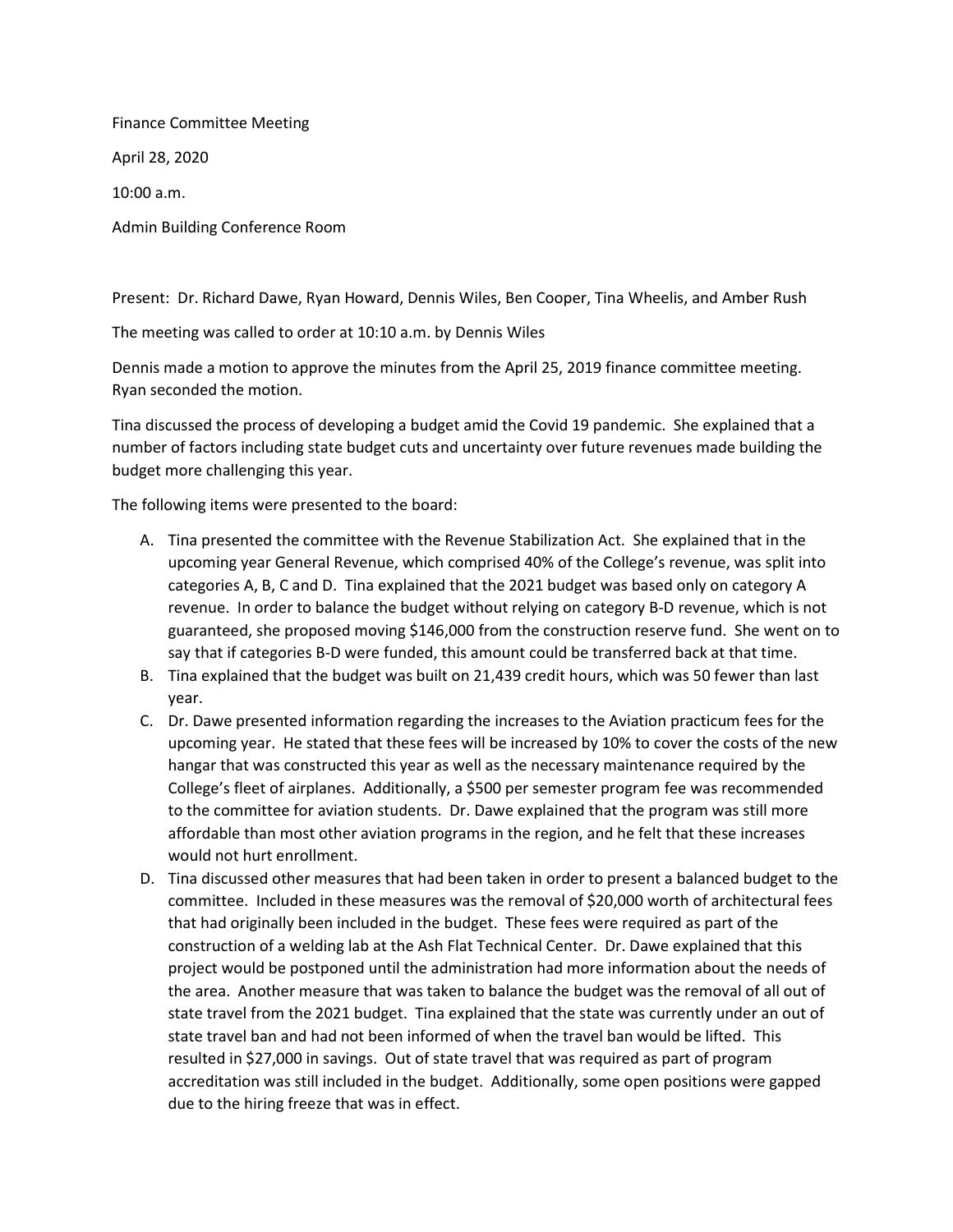Finance Committee Meeting April 28, 2020 10:00 a.m. Admin Building Conference Room

Present: Dr. Richard Dawe, Ryan Howard, Dennis Wiles, Ben Cooper, Tina Wheelis, and Amber Rush

The meeting was called to order at 10:10 a.m. by Dennis Wiles

Dennis made a motion to approve the minutes from the April 25, 2019 finance committee meeting. Ryan seconded the motion.

Tina discussed the process of developing a budget amid the Covid 19 pandemic. She explained that a number of factors including state budget cuts and uncertainty over future revenues made building the budget more challenging this year.

The following items were presented to the board:

- A. Tina presented the committee with the Revenue Stabilization Act. She explained that in the upcoming year General Revenue, which comprised 40% of the College's revenue, was split into categories A, B, C and D. Tina explained that the 2021 budget was based only on category A revenue. In order to balance the budget without relying on category B-D revenue, which is not guaranteed, she proposed moving \$146,000 from the construction reserve fund. She went on to say that if categories B-D were funded, this amount could be transferred back at that time.
- B. Tina explained that the budget was built on 21,439 credit hours, which was 50 fewer than last year.
- C. Dr. Dawe presented information regarding the increases to the Aviation practicum fees for the upcoming year. He stated that these fees will be increased by 10% to cover the costs of the new hangar that was constructed this year as well as the necessary maintenance required by the College's fleet of airplanes. Additionally, a \$500 per semester program fee was recommended to the committee for aviation students. Dr. Dawe explained that the program was still more affordable than most other aviation programs in the region, and he felt that these increases would not hurt enrollment.
- D. Tina discussed other measures that had been taken in order to present a balanced budget to the committee. Included in these measures was the removal of \$20,000 worth of architectural fees that had originally been included in the budget. These fees were required as part of the construction of a welding lab at the Ash Flat Technical Center. Dr. Dawe explained that this project would be postponed until the administration had more information about the needs of the area. Another measure that was taken to balance the budget was the removal of all out of state travel from the 2021 budget. Tina explained that the state was currently under an out of state travel ban and had not been informed of when the travel ban would be lifted. This resulted in \$27,000 in savings. Out of state travel that was required as part of program accreditation was still included in the budget. Additionally, some open positions were gapped due to the hiring freeze that was in effect.